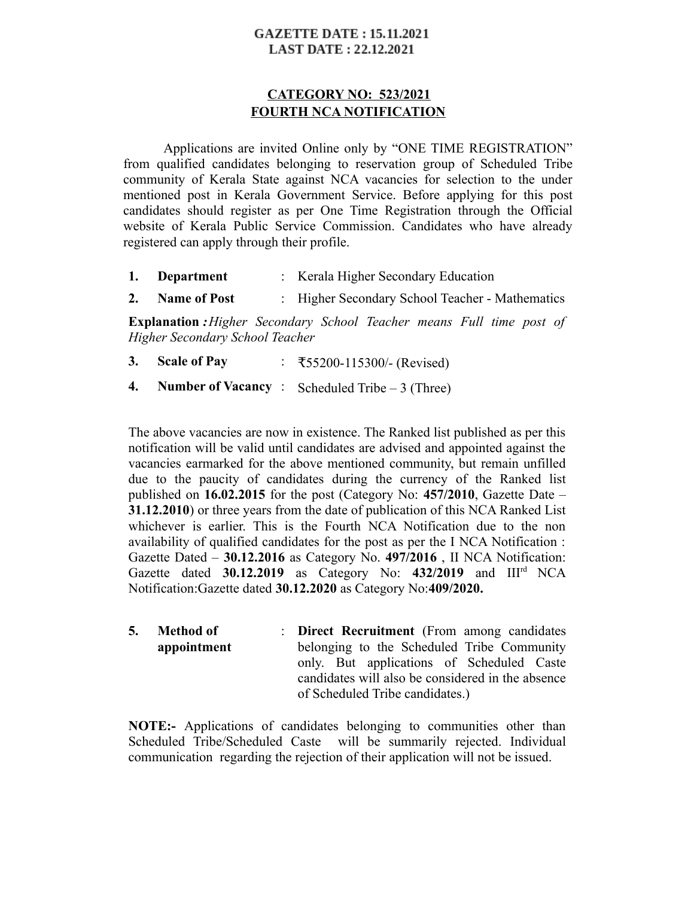### **GAZETTE DATE: 15.11.2021 LAST DATE: 22.12.2021**

# **CATEGORY NO: 523/2021 FOURTH NCA NOTIFICATION**

Applications are invited Online only by "ONE TIME REGISTRATION" from qualified candidates belonging to reservation group of Scheduled Tribe community of Kerala State against NCA vacancies for selection to the under mentioned post in Kerala Government Service. Before applying for this post candidates should register as per One Time Registration through the Official website of Kerala Public Service Commission. Candidates who have already registered can apply through their profile.

- **1. Department** : Kerala Higher Secondary Education
- **2. Name of Post** : Higher Secondary School Teacher Mathematics

**Explanation** *:Higher Secondary School Teacher means Full time post of Higher Secondary School Teacher*

- **3. Scale of Pay** : ₹55200-115300/- (Revised)
- **4. Number of Vacancy** : Scheduled Tribe 3 (Three)

The above vacancies are now in existence. The Ranked list published as per this notification will be valid until candidates are advised and appointed against the vacancies earmarked for the above mentioned community, but remain unfilled due to the paucity of candidates during the currency of the Ranked list published on **16.02.2015** for the post (Category No: **457/2010**, Gazette Date – **31.12.2010**) or three years from the date of publication of this NCA Ranked List whichever is earlier. This is the Fourth NCA Notification due to the non availability of qualified candidates for the post as per the I NCA Notification : Gazette Dated – **30.12.2016** as Category No. **497/2016** , II NCA Notification: Gazette dated **30.12.2019** as Category No: **432/2019** and IIIrd NCA Notification:Gazette dated **30.12.2020** as Category No:**409/2020.**

**5. Method of appointment** : **Direct Recruitment** (From among candidates belonging to the Scheduled Tribe Community only. But applications of Scheduled Caste candidates will also be considered in the absence of Scheduled Tribe candidates.)

**NOTE:-** Applications of candidates belonging to communities other than Scheduled Tribe/Scheduled Caste will be summarily rejected. Individual communication regarding the rejection of their application will not be issued.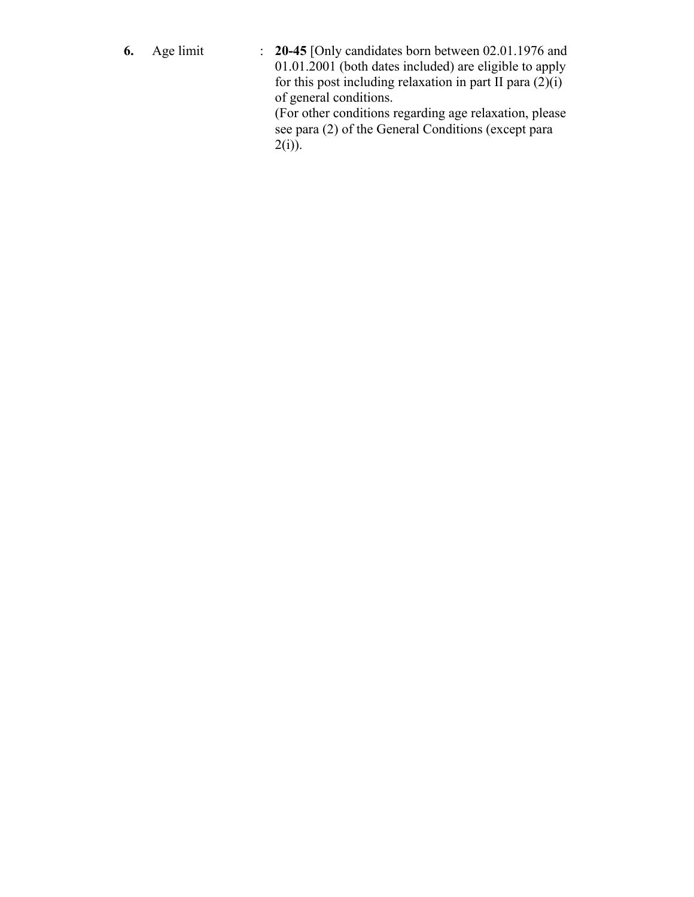**6.** Age limit : **20-45** [Only candidates born between 02.01.1976 and 01.01.2001 (both dates included) are eligible to apply for this post including relaxation in part II para (2)(i) of general conditions. (For other conditions regarding age relaxation, please see para (2) of the General Conditions (except para  $2(i)$ ).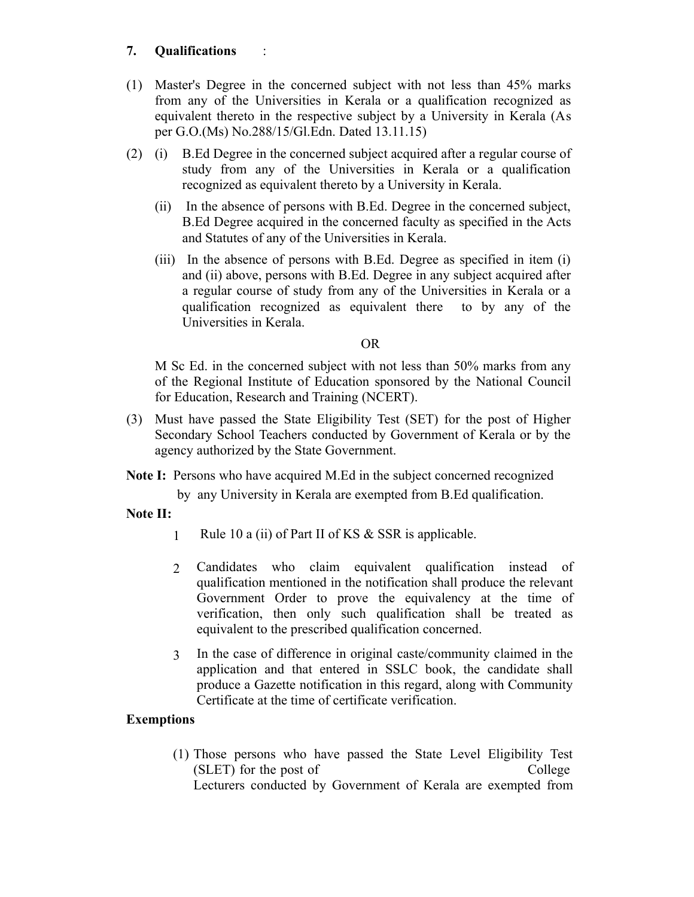# **7. Qualifications** :

- (1) Master's Degree in the concerned subject with not less than 45% marks from any of the Universities in Kerala or a qualification recognized as equivalent thereto in the respective subject by a University in Kerala (As per G.O.(Ms) No.288/15/Gl.Edn. Dated 13.11.15)
- (2) (i) B.Ed Degree in the concerned subject acquired after a regular course of study from any of the Universities in Kerala or a qualification recognized as equivalent thereto by a University in Kerala.
	- (ii) In the absence of persons with B.Ed. Degree in the concerned subject, B.Ed Degree acquired in the concerned faculty as specified in the Acts and Statutes of any of the Universities in Kerala.
	- (iii) In the absence of persons with B.Ed. Degree as specified in item (i) and (ii) above, persons with B.Ed. Degree in any subject acquired after a regular course of study from any of the Universities in Kerala or a qualification recognized as equivalent there to by any of the Universities in Kerala.

### **OR** Service Service Service Service Service Service Service Service Service Service Service Service Service Service Service Service Service Service Service Service Service Service Service Service Service Service Service S

M Sc Ed. in the concerned subject with not less than 50% marks from any of the Regional Institute of Education sponsored by the National Council for Education, Research and Training (NCERT).

- (3) Must have passed the State Eligibility Test (SET) for the post of Higher Secondary School Teachers conducted by Government of Kerala or by the agency authorized by the State Government.
- **Note I:** Persons who have acquired M.Ed in the subject concerned recognized
	- by any University in Kerala are exempted from B.Ed qualification.

## **Note II:**

- 1 Rule 10 a (ii) of Part II of KS & SSR is applicable.
- 2 Candidates who claim equivalent qualification instead of qualification mentioned in the notification shall produce the relevant Government Order to prove the equivalency at the time of verification, then only such qualification shall be treated as equivalent to the prescribed qualification concerned.
- 3 In the case of difference in original caste/community claimed in the application and that entered in SSLC book, the candidate shall produce a Gazette notification in this regard, along with Community Certificate at the time of certificate verification.

## **Exemptions**

(1) Those persons who have passed the State Level Eligibility Test (SLET) for the post of College Lecturers conducted by Government of Kerala are exempted from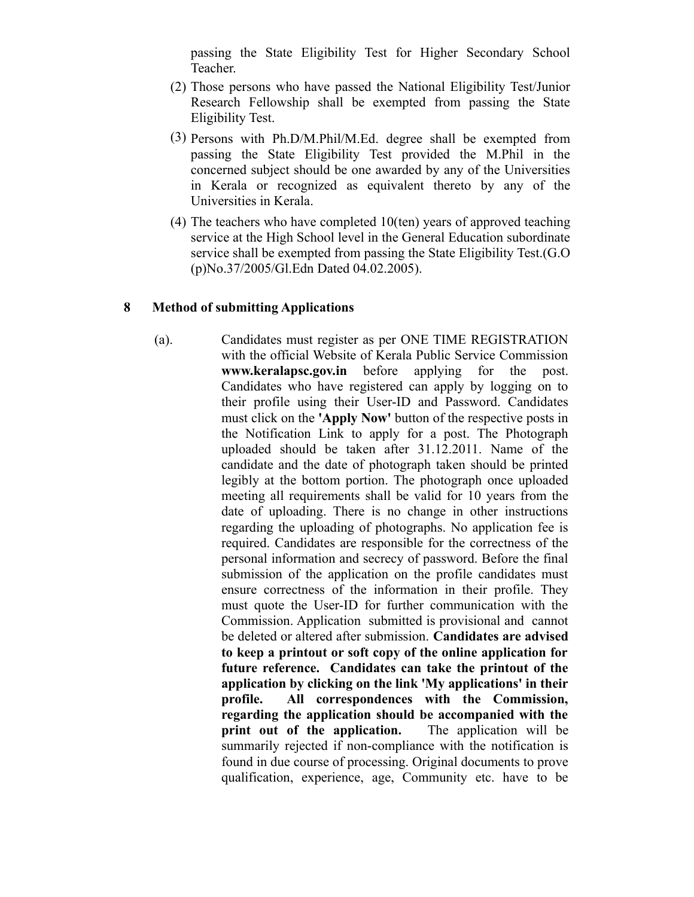passing the State Eligibility Test for Higher Secondary School Teacher.

- (2) Those persons who have passed the National Eligibility Test/Junior Research Fellowship shall be exempted from passing the State Eligibility Test.
- (3) Persons with Ph.D/M.Phil/M.Ed. degree shall be exempted from passing the State Eligibility Test provided the M.Phil in the concerned subject should be one awarded by any of the Universities in Kerala or recognized as equivalent thereto by any of the Universities in Kerala.
- (4) The teachers who have completed 10(ten) years of approved teaching service at the High School level in the General Education subordinate service shall be exempted from passing the State Eligibility Test.(G.O (p)No.37/2005/Gl.Edn Dated 04.02.2005).

### **8 Method of submitting Applications**

(a). Candidates must register as per ONE TIME REGISTRATION with the official Website of Kerala Public Service Commission **www.keralapsc.gov.in** before applying for the post. Candidates who have registered can apply by logging on to their profile using their User-ID and Password. Candidates must click on the **'Apply Now'** button of the respective posts in the Notification Link to apply for a post. The Photograph uploaded should be taken after 31.12.2011. Name of the candidate and the date of photograph taken should be printed legibly at the bottom portion. The photograph once uploaded meeting all requirements shall be valid for 10 years from the date of uploading. There is no change in other instructions regarding the uploading of photographs. No application fee is required. Candidates are responsible for the correctness of the personal information and secrecy of password. Before the final submission of the application on the profile candidates must ensure correctness of the information in their profile. They must quote the User-ID for further communication with the Commission. Application submitted is provisional and cannot be deleted or altered after submission. **Candidates are advised to keep a printout or soft copy of the online application for future reference. Candidates can take the printout of the application by clicking on the link 'My applications' in their profile. All correspondences with the Commission, regarding the application should be accompanied with the print out of the application.** The application will be summarily rejected if non-compliance with the notification is found in due course of processing. Original documents to prove qualification, experience, age, Community etc. have to be